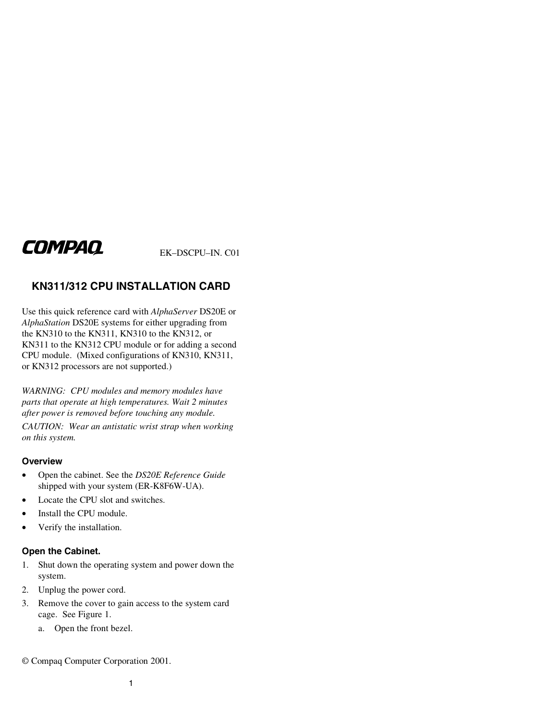# **COMPAQ**

EK–DSCPU–IN. C01

## **KN311/312 CPU INSTALLATION CARD**

Use this quick reference card with *AlphaServer* DS20E or *AlphaStation* DS20E systems for either upgrading from the KN310 to the KN311, KN310 to the KN312, or KN311 to the KN312 CPU module or for adding a second CPU module. (Mixed configurations of KN310, KN311, or KN312 processors are not supported.)

*WARNING: CPU modules and memory modules have parts that operate at high temperatures. Wait 2 minutes after power is removed before touching any module.* 

*CAUTION: Wear an antistatic wrist strap when working on this system.* 

#### **Overview**

- Open the cabinet. See the *DS20E Reference Guide* shipped with your system (ER-K8F6W-UA).
- Locate the CPU slot and switches.
- Install the CPU module.
- Verify the installation.

### **Open the Cabinet.**

- 1. Shut down the operating system and power down the system.
- 2. Unplug the power cord.
- 3. Remove the cover to gain access to the system card cage. See Figure 1.
	- a. Open the front bezel.

© Compaq Computer Corporation 2001.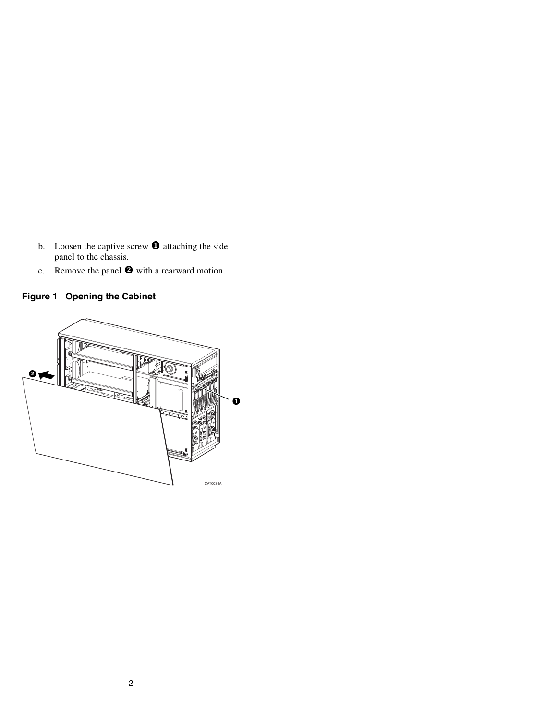- b. Loosen the captive screw  $\bullet$  attaching the side panel to the chassis.
- c. Remove the panel  $\bullet$  with a rearward motion.

# **Figure 1 Opening the Cabinet**

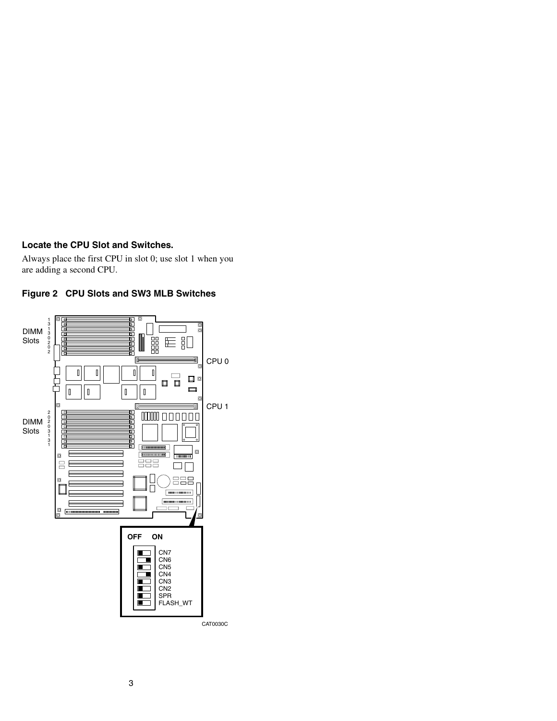### **Locate the CPU Slot and Switches.**

Always place the first CPU in slot 0; use slot 1 when you are adding a second CPU.



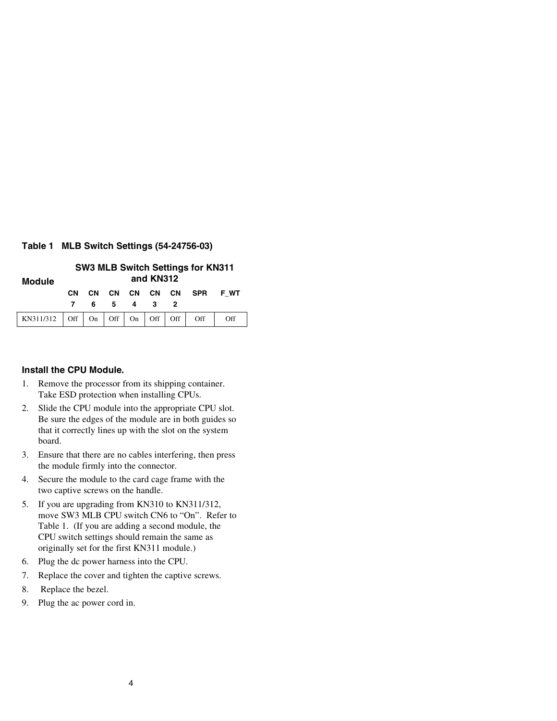### **Table 1 MLB Switch Settings (54-24756-03)**

| <b>Module</b>                                                               | <b>SW3 MLB Switch Settings for KN311</b><br>and KN312 |                 |           |   |          |  |     |      |
|-----------------------------------------------------------------------------|-------------------------------------------------------|-----------------|-----------|---|----------|--|-----|------|
|                                                                             | CМ                                                    | <b>CN</b><br>6. | CN —<br>5 | 4 | CN CN CN |  | SPR | F WT |
| KN311/312   Off $\mid$ On $\mid$ Off $\mid$ On $\mid$ Off $\mid$ Off $\mid$ |                                                       |                 |           |   |          |  | Off | Off  |

### **Install the CPU Module.**

- 1. Remove the processor from its shipping container. Take ESD protection when installing CPUs.
- 2. Slide the CPU module into the appropriate CPU slot. Be sure the edges of the module are in both guides so that it correctly lines up with the slot on the system board.
- 3. Ensure that there are no cables interfering, then press the module firmly into the connector.
- 4. Secure the module to the card cage frame with the two captive screws on the handle.
- 5. If you are upgrading from KN310 to KN311/312, move SW3 MLB CPU switch CN6 to "On". Refer to Table 1. (If you are adding a second module, the CPU switch settings should remain the same as originally set for the first KN311 module.)
- 6. Plug the dc power harness into the CPU.
- 7. Replace the cover and tighten the captive screws.
- 8. Replace the bezel.
- 9. Plug the ac power cord in.